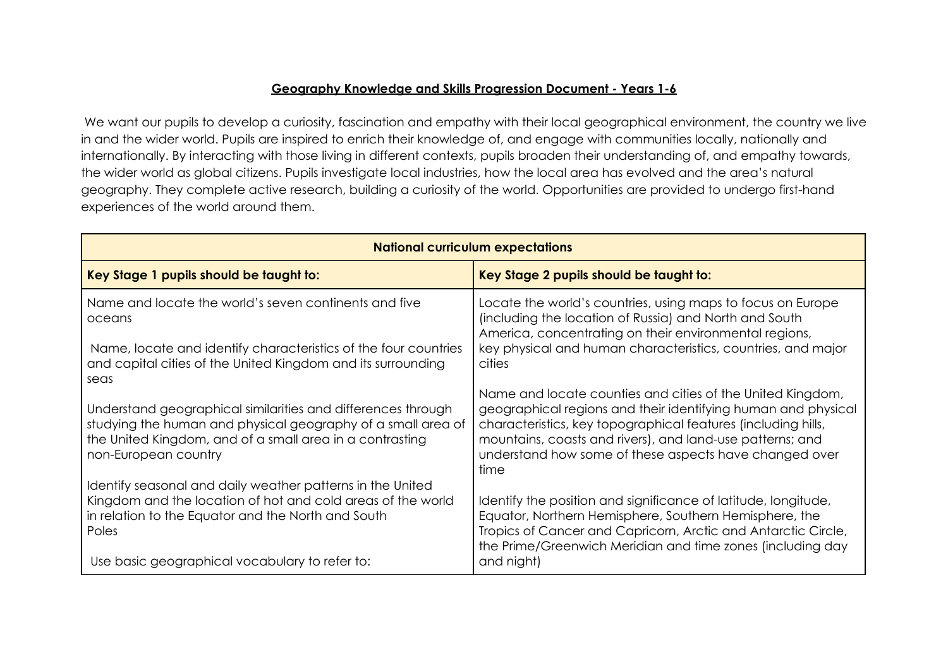## **Geography Knowledge and Skills Progression Document - Years 1-6**

We want our pupils to develop a curiosity, fascination and empathy with their local geographical environment, the country we live in and the wider world. Pupils are inspired to enrich their knowledge of, and engage with communities locally, nationally and internationally. By interacting with those living in different contexts, pupils broaden their understanding of, and empathy towards, the wider world as global citizens. Pupils investigate local industries, how the local area has evolved and the area's natural geography. They complete active research, building a curiosity of the world. Opportunities are provided to undergo first-hand experiences of the world around them.

| <b>National curriculum expectations</b>                                                                                                                                                                                                    |                                                                                                                                                                                                                                                                                                                             |  |
|--------------------------------------------------------------------------------------------------------------------------------------------------------------------------------------------------------------------------------------------|-----------------------------------------------------------------------------------------------------------------------------------------------------------------------------------------------------------------------------------------------------------------------------------------------------------------------------|--|
| Key Stage 1 pupils should be taught to:                                                                                                                                                                                                    | Key Stage 2 pupils should be taught to:                                                                                                                                                                                                                                                                                     |  |
| Name and locate the world's seven continents and five<br>oceans<br>Name, locate and identify characteristics of the four countries<br>and capital cities of the United Kingdom and its surrounding                                         | Locate the world's countries, using maps to focus on Europe<br>(including the location of Russia) and North and South<br>America, concentrating on their environmental regions,<br>key physical and human characteristics, countries, and major<br>cities                                                                   |  |
| seas<br>Understand geographical similarities and differences through<br>studying the human and physical geography of a small area of<br>the United Kingdom, and of a small area in a contrasting<br>non-European country                   | Name and locate counties and cities of the United Kingdom,<br>geographical regions and their identifying human and physical<br>characteristics, key topographical features (including hills,<br>mountains, coasts and rivers), and land-use patterns; and<br>understand how some of these aspects have changed over<br>time |  |
| Identify seasonal and daily weather patterns in the United<br>Kingdom and the location of hot and cold areas of the world<br>in relation to the Equator and the North and South<br>Poles<br>Use basic geographical vocabulary to refer to: | Identify the position and significance of latitude, longitude,<br>Equator, Northern Hemisphere, Southern Hemisphere, the<br>Tropics of Cancer and Capricorn, Arctic and Antarctic Circle,<br>the Prime/Greenwich Meridian and time zones (including day<br>and night)                                                       |  |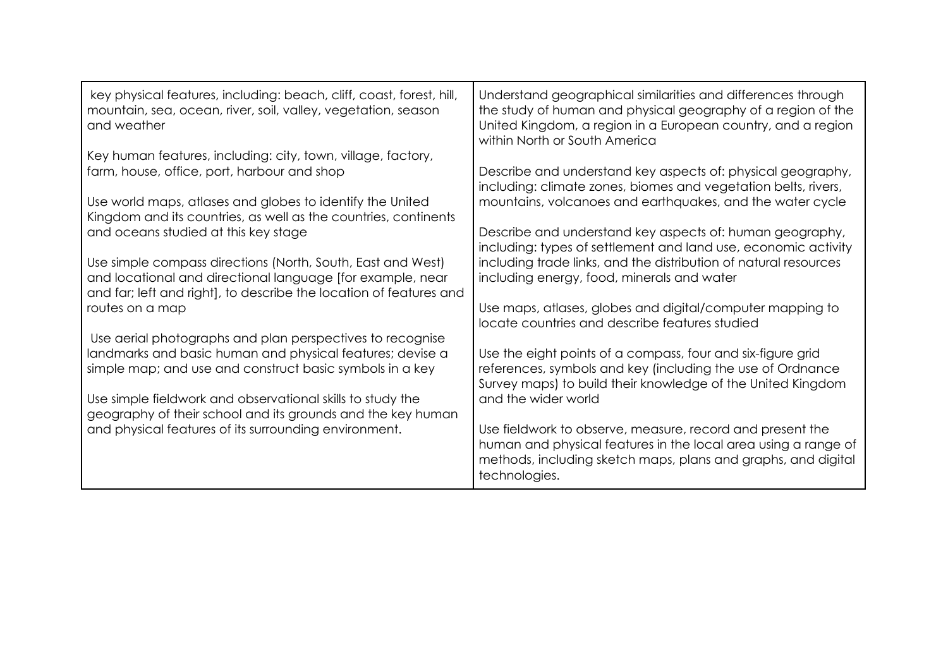| key physical features, including: beach, cliff, coast, forest, hill,<br>mountain, sea, ocean, river, soil, valley, vegetation, season<br>and weather                                            | Understand geographical similarities and differences through<br>the study of human and physical geography of a region of the<br>United Kingdom, a region in a European country, and a region<br>within North or South America |
|-------------------------------------------------------------------------------------------------------------------------------------------------------------------------------------------------|-------------------------------------------------------------------------------------------------------------------------------------------------------------------------------------------------------------------------------|
| Key human features, including: city, town, village, factory,<br>farm, house, office, port, harbour and shop                                                                                     | Describe and understand key aspects of: physical geography,<br>including: climate zones, biomes and vegetation belts, rivers,                                                                                                 |
| Use world maps, atlases and globes to identify the United<br>Kingdom and its countries, as well as the countries, continents                                                                    | mountains, volcanoes and earthquakes, and the water cycle                                                                                                                                                                     |
| and oceans studied at this key stage                                                                                                                                                            | Describe and understand key aspects of: human geography,<br>including: types of settlement and land use, economic activity                                                                                                    |
| Use simple compass directions (North, South, East and West)<br>and locational and directional language [for example, near<br>and far; left and right], to describe the location of features and | including trade links, and the distribution of natural resources<br>including energy, food, minerals and water                                                                                                                |
| routes on a map                                                                                                                                                                                 | Use maps, atlases, globes and digital/computer mapping to<br>locate countries and describe features studied                                                                                                                   |
| Use aerial photographs and plan perspectives to recognise                                                                                                                                       |                                                                                                                                                                                                                               |
| landmarks and basic human and physical features; devise a<br>simple map; and use and construct basic symbols in a key                                                                           | Use the eight points of a compass, four and six-figure grid<br>references, symbols and key (including the use of Ordnance<br>Survey maps) to build their knowledge of the United Kingdom                                      |
| Use simple fieldwork and observational skills to study the<br>geography of their school and its grounds and the key human                                                                       | and the wider world                                                                                                                                                                                                           |
| and physical features of its surrounding environment.                                                                                                                                           | Use fieldwork to observe, measure, record and present the<br>human and physical features in the local area using a range of<br>methods, including sketch maps, plans and graphs, and digital<br>technologies.                 |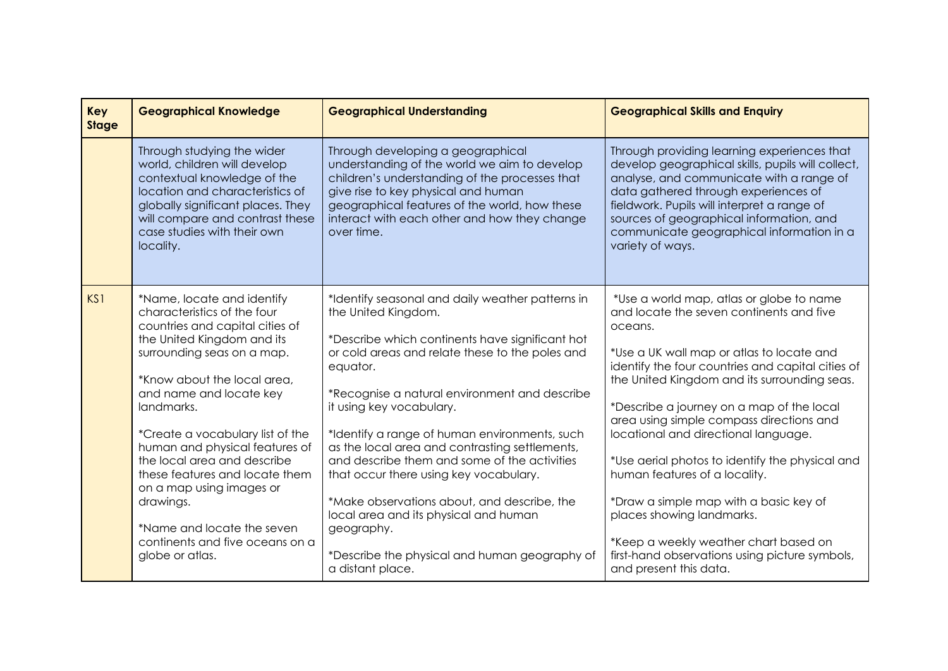| Key<br><b>Stage</b> | <b>Geographical Knowledge</b>                                                                                                                                                                                                                                                                                                                                                                                                                                                                        | <b>Geographical Understanding</b>                                                                                                                                                                                                                                                                                                                                                                                                                                                                                                                                                                                                              | <b>Geographical Skills and Enquiry</b>                                                                                                                                                                                                                                                                                                                                                                                                                                                                                                                                                                                                                             |
|---------------------|------------------------------------------------------------------------------------------------------------------------------------------------------------------------------------------------------------------------------------------------------------------------------------------------------------------------------------------------------------------------------------------------------------------------------------------------------------------------------------------------------|------------------------------------------------------------------------------------------------------------------------------------------------------------------------------------------------------------------------------------------------------------------------------------------------------------------------------------------------------------------------------------------------------------------------------------------------------------------------------------------------------------------------------------------------------------------------------------------------------------------------------------------------|--------------------------------------------------------------------------------------------------------------------------------------------------------------------------------------------------------------------------------------------------------------------------------------------------------------------------------------------------------------------------------------------------------------------------------------------------------------------------------------------------------------------------------------------------------------------------------------------------------------------------------------------------------------------|
|                     | Through studying the wider<br>world, children will develop<br>contextual knowledge of the<br>location and characteristics of<br>globally significant places. They<br>will compare and contrast these<br>case studies with their own<br>locality.                                                                                                                                                                                                                                                     | Through developing a geographical<br>understanding of the world we aim to develop<br>children's understanding of the processes that<br>give rise to key physical and human<br>geographical features of the world, how these<br>interact with each other and how they change<br>over time.                                                                                                                                                                                                                                                                                                                                                      | Through providing learning experiences that<br>develop geographical skills, pupils will collect,<br>analyse, and communicate with a range of<br>data gathered through experiences of<br>fieldwork. Pupils will interpret a range of<br>sources of geographical information, and<br>communicate geographical information in a<br>variety of ways.                                                                                                                                                                                                                                                                                                                   |
| KS1                 | *Name, locate and identify<br>characteristics of the four<br>countries and capital cities of<br>the United Kingdom and its<br>surrounding seas on a map.<br>*Know about the local area.<br>and name and locate key<br>landmarks.<br>*Create a vocabulary list of the<br>human and physical features of<br>the local area and describe<br>these features and locate them<br>on a map using images or<br>drawings.<br>*Name and locate the seven<br>continents and five oceans on a<br>globe or atlas. | *Identify seasonal and daily weather patterns in<br>the United Kingdom.<br>*Describe which continents have significant hot<br>or cold areas and relate these to the poles and<br>equator.<br>*Recognise a natural environment and describe<br>it using key vocabulary.<br>*Identify a range of human environments, such<br>as the local area and contrasting settlements,<br>and describe them and some of the activities<br>that occur there using key vocabulary.<br>*Make observations about, and describe, the<br>local area and its physical and human<br>geography.<br>*Describe the physical and human geography of<br>a distant place. | *Use a world map, atlas or globe to name<br>and locate the seven continents and five<br>oceans.<br>*Use a UK wall map or atlas to locate and<br>identify the four countries and capital cities of<br>the United Kingdom and its surrounding seas.<br>*Describe a journey on a map of the local<br>area using simple compass directions and<br>locational and directional language.<br>*Use aerial photos to identify the physical and<br>human features of a locality.<br>*Draw a simple map with a basic key of<br>places showing landmarks.<br>*Keep a weekly weather chart based on<br>first-hand observations using picture symbols,<br>and present this data. |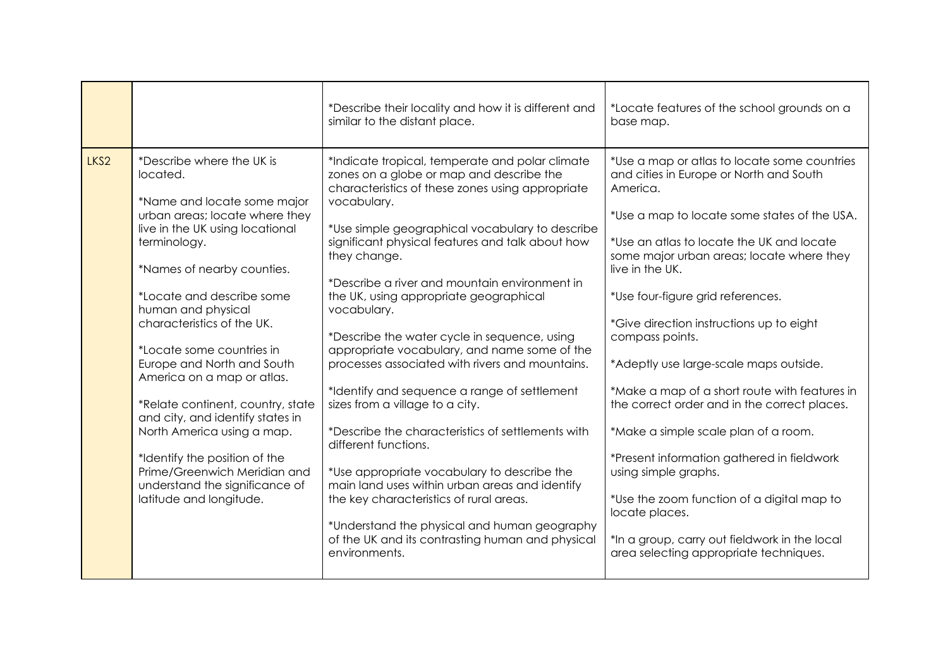|                  |                                                                                                                                                                                                                                                                                                                                                                                                                                                                                                                                                                                                        | *Describe their locality and how it is different and<br>similar to the distant place.                                                                                                                                                                                                                                                                                                                                                                                                                                                                                                                                                                                                                                                                                                                                                                                                                                                                                               | *Locate features of the school grounds on a<br>base map.                                                                                                                                                                                                                                                                                                                                                                                                                                                                                                                                                                                                                                                                                                                                 |
|------------------|--------------------------------------------------------------------------------------------------------------------------------------------------------------------------------------------------------------------------------------------------------------------------------------------------------------------------------------------------------------------------------------------------------------------------------------------------------------------------------------------------------------------------------------------------------------------------------------------------------|-------------------------------------------------------------------------------------------------------------------------------------------------------------------------------------------------------------------------------------------------------------------------------------------------------------------------------------------------------------------------------------------------------------------------------------------------------------------------------------------------------------------------------------------------------------------------------------------------------------------------------------------------------------------------------------------------------------------------------------------------------------------------------------------------------------------------------------------------------------------------------------------------------------------------------------------------------------------------------------|------------------------------------------------------------------------------------------------------------------------------------------------------------------------------------------------------------------------------------------------------------------------------------------------------------------------------------------------------------------------------------------------------------------------------------------------------------------------------------------------------------------------------------------------------------------------------------------------------------------------------------------------------------------------------------------------------------------------------------------------------------------------------------------|
| LKS <sub>2</sub> | *Describe where the UK is<br>located.<br>*Name and locate some major<br>urban areas; locate where they<br>live in the UK using locational<br>terminology.<br>*Names of nearby counties.<br>*Locate and describe some<br>human and physical<br>characteristics of the UK.<br>*Locate some countries in<br>Europe and North and South<br>America on a map or atlas.<br>*Relate continent, country, state<br>and city, and identify states in<br>North America using a map.<br>*Identify the position of the<br>Prime/Greenwich Meridian and<br>understand the significance of<br>latitude and longitude. | *Indicate tropical, temperate and polar climate<br>zones on a globe or map and describe the<br>characteristics of these zones using appropriate<br>vocabulary.<br>*Use simple geographical vocabulary to describe<br>significant physical features and talk about how<br>they change.<br>*Describe a river and mountain environment in<br>the UK, using appropriate geographical<br>vocabulary.<br>*Describe the water cycle in sequence, using<br>appropriate vocabulary, and name some of the<br>processes associated with rivers and mountains.<br>*Identify and sequence a range of settlement<br>sizes from a village to a city.<br>*Describe the characteristics of settlements with<br>different functions.<br>*Use appropriate vocabulary to describe the<br>main land uses within urban areas and identify<br>the key characteristics of rural areas.<br>*Understand the physical and human geography<br>of the UK and its contrasting human and physical<br>environments. | *Use a map or atlas to locate some countries<br>and cities in Europe or North and South<br>America.<br>*Use a map to locate some states of the USA.<br>*Use an atlas to locate the UK and locate<br>some major urban areas; locate where they<br>live in the UK.<br>*Use four-figure grid references.<br>*Give direction instructions up to eight<br>compass points.<br>*Adeptly use large-scale maps outside.<br>*Make a map of a short route with features in<br>the correct order and in the correct places.<br>*Make a simple scale plan of a room.<br>*Present information gathered in fieldwork<br>using simple graphs.<br>*Use the zoom function of a digital map to<br>locate places.<br>*In a group, carry out fieldwork in the local<br>area selecting appropriate techniques. |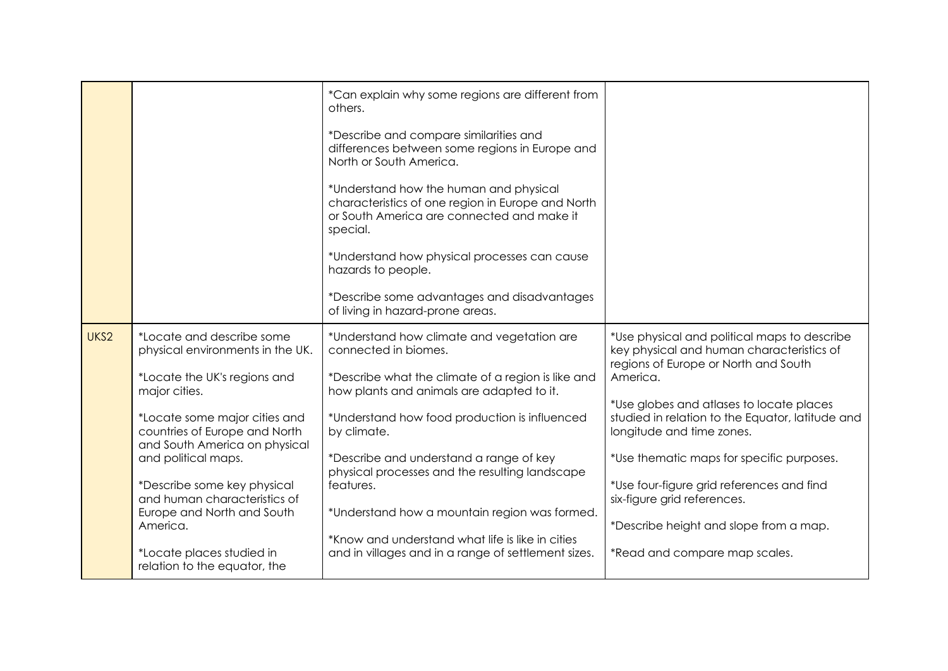|      |                                                                                                                                                                                                                                                                                                                                                                                                                | *Can explain why some regions are different from<br>others.<br>*Describe and compare similarities and<br>differences between some regions in Europe and<br>North or South America.<br>*Understand how the human and physical<br>characteristics of one region in Europe and North<br>or South America are connected and make it<br>special.<br>*Understand how physical processes can cause<br>hazards to people.<br>*Describe some advantages and disadvantages<br>of living in hazard-prone areas.        |                                                                                                                                                                                                                                                                                                                                                                                                                                                                                |
|------|----------------------------------------------------------------------------------------------------------------------------------------------------------------------------------------------------------------------------------------------------------------------------------------------------------------------------------------------------------------------------------------------------------------|-------------------------------------------------------------------------------------------------------------------------------------------------------------------------------------------------------------------------------------------------------------------------------------------------------------------------------------------------------------------------------------------------------------------------------------------------------------------------------------------------------------|--------------------------------------------------------------------------------------------------------------------------------------------------------------------------------------------------------------------------------------------------------------------------------------------------------------------------------------------------------------------------------------------------------------------------------------------------------------------------------|
| UKS2 | *Locate and describe some<br>physical environments in the UK.<br>*Locate the UK's regions and<br>major cities.<br>*Locate some major cities and<br>countries of Europe and North<br>and South America on physical<br>and political maps.<br>*Describe some key physical<br>and human characteristics of<br>Europe and North and South<br>America.<br>*Locate places studied in<br>relation to the equator, the | *Understand how climate and vegetation are<br>connected in biomes.<br>*Describe what the climate of a region is like and<br>how plants and animals are adapted to it.<br>*Understand how food production is influenced<br>by climate.<br>*Describe and understand a range of key<br>physical processes and the resulting landscape<br>features.<br>*Understand how a mountain region was formed.<br>*Know and understand what life is like in cities<br>and in villages and in a range of settlement sizes. | *Use physical and political maps to describe<br>key physical and human characteristics of<br>regions of Europe or North and South<br>America.<br>*Use globes and atlases to locate places<br>studied in relation to the Equator, latitude and<br>longitude and time zones.<br>*Use thematic maps for specific purposes.<br>*Use four-figure grid references and find<br>six-figure grid references.<br>*Describe height and slope from a map.<br>*Read and compare map scales. |